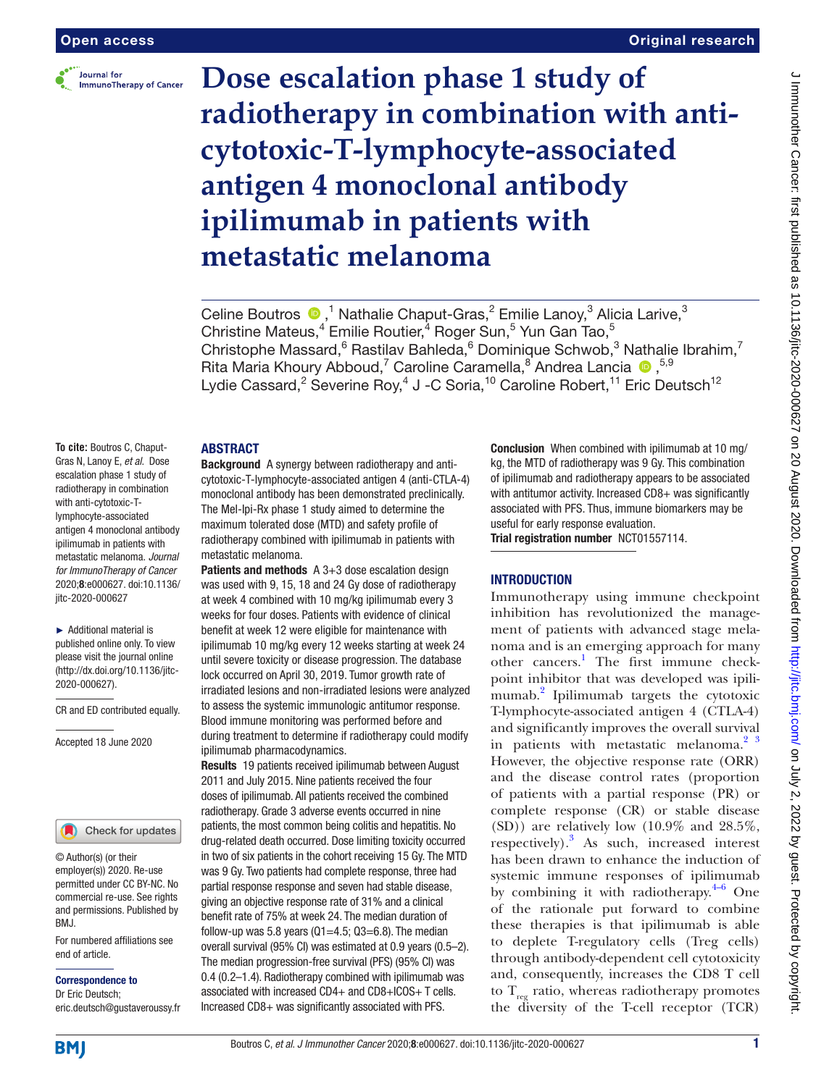

# **Dose escalation phase 1 study of radiotherapy in combination with anticytotoxic-T-lymphocyte-associated antigen 4 monoclonal antibody ipilimumab in patients with metastatic melanoma**

CelineBoutros  $\bigcirc$ ,<sup>1</sup> Nathalie Chaput-Gras,<sup>2</sup> Emilie Lanoy,<sup>3</sup> Alicia Larive,<sup>3</sup> Christine Mateus,<sup>4</sup> Emilie Routier,<sup>4</sup> Roger Sun,<sup>5</sup> Yun Gan Tao,<sup>5</sup> Christophe Massard, <sup>6</sup> Rastilav Bahleda, <sup>6</sup> Dominique Schwob, <sup>3</sup> Nathalie Ibrahim, <sup>7</sup> RitaMaria Khoury Abboud,<sup>7</sup> Caroline Caramella, <sup>8</sup> Andrea Lancia <sup>1</sup>, 5,9 Lydie Cassard,<sup>2</sup> Severine Roy,<sup>4</sup> J -C Soria,<sup>10</sup> Caroline Robert,<sup>11</sup> Eric Deutsch<sup>12</sup>

#### ABSTRACT

**To cite:** Boutros C, Chaput-Gras N, Lanoy E, *et al*. Dose escalation phase 1 study of radiotherapy in combination with anti-cytotoxic-Tlymphocyte-associated antigen 4 monoclonal antibody ipilimumab in patients with metastatic melanoma. *Journal for ImmunoTherapy of Cancer* 2020;8:e000627. doi:10.1136/ iitc-2020-000627

► Additional material is published online only. To view please visit the journal online (http://dx.doi.org/10.1136/jitc-2020-000627).

CR and ED contributed equally.

Accepted 18 June 2020

#### Check for updates

© Author(s) (or their employer(s)) 2020. Re-use permitted under CC BY-NC. No commercial re-use. See rights and permissions. Published by BMJ.

For numbered affiliations see end of article.

#### Correspondence to

Dr Eric Deutsch; eric.deutsch@gustaveroussy.fr Background A synergy between radiotherapy and anticytotoxic-T-lymphocyte-associated antigen 4 (anti-CTLA-4) monoclonal antibody has been demonstrated preclinically. The Mel-Ipi-Rx phase 1 study aimed to determine the maximum tolerated dose (MTD) and safety profile of radiotherapy combined with ipilimumab in patients with metastatic melanoma.

Patients and methods A 3+3 dose escalation design was used with 9, 15, 18 and 24 Gy dose of radiotherapy at week 4 combined with 10 mg/kg ipilimumab every 3 weeks for four doses. Patients with evidence of clinical benefit at week 12 were eligible for maintenance with ipilimumab 10 mg/kg every 12 weeks starting at week 24 until severe toxicity or disease progression. The database lock occurred on April 30, 2019. Tumor growth rate of irradiated lesions and non-irradiated lesions were analyzed to assess the systemic immunologic antitumor response. Blood immune monitoring was performed before and during treatment to determine if radiotherapy could modify ipilimumab pharmacodynamics.

Results 19 patients received ipilimumab between August 2011 and July 2015. Nine patients received the four doses of ipilimumab. All patients received the combined radiotherapy. Grade 3 adverse events occurred in nine patients, the most common being colitis and hepatitis. No drug-related death occurred. Dose limiting toxicity occurred in two of six patients in the cohort receiving 15 Gy. The MTD was 9 Gy. Two patients had complete response, three had partial response response and seven had stable disease, giving an objective response rate of 31% and a clinical benefit rate of 75% at week 24. The median duration of follow-up was 5.8 years ( $Q1$ =4.5;  $Q3$ =6.8). The median overall survival (95% CI) was estimated at 0.9 years (0.5–2). The median progression-free survival (PFS) (95% CI) was 0.4 (0.2–1.4). Radiotherapy combined with ipilimumab was associated with increased CD4+ and CD8+ICOS+ T cells. Increased CD8+ was significantly associated with PFS.

Conclusion When combined with ipilimumab at 10 mg/ kg, the MTD of radiotherapy was 9 Gy. This combination of ipilimumab and radiotherapy appears to be associated with antitumor activity. Increased CD8+ was significantly associated with PFS. Thus, immune biomarkers may be useful for early response evaluation. Trial registration number [NCT01557114.](NCT01557114)

## **INTRODUCTION**

Immunotherapy using immune checkpoint inhibition has revolutionized the management of patients with advanced stage melanoma and is an emerging approach for many other cancers.<sup>1</sup> The first immune checkpoint inhibitor that was developed was ipilimumab[.2](#page-8-1) Ipilimumab targets the cytotoxic T-lymphocyte-associated antigen 4 (CTLA-4) and significantly improves the overall survival in patients with metastatic melanoma.<sup>2</sup> <sup>3</sup> However, the objective response rate (ORR) and the disease control rates (proportion of patients with a partial response (PR) or complete response (CR) or stable disease (SD)) are relatively low (10.9% and 28.5%, respectively).[3](#page-8-2) As such, increased interest has been drawn to enhance the induction of systemic immune responses of ipilimumab by combining it with radiotherapy. $4-6$  One of the rationale put forward to combine these therapies is that ipilimumab is able to deplete T-regulatory cells (Treg cells) through antibody-dependent cell cytotoxicity and, consequently, increases the CD8 T cell to  $T_{\text{reg}}$  ratio, whereas radiotherapy promotes the diversity of the T-cell receptor (TCR)

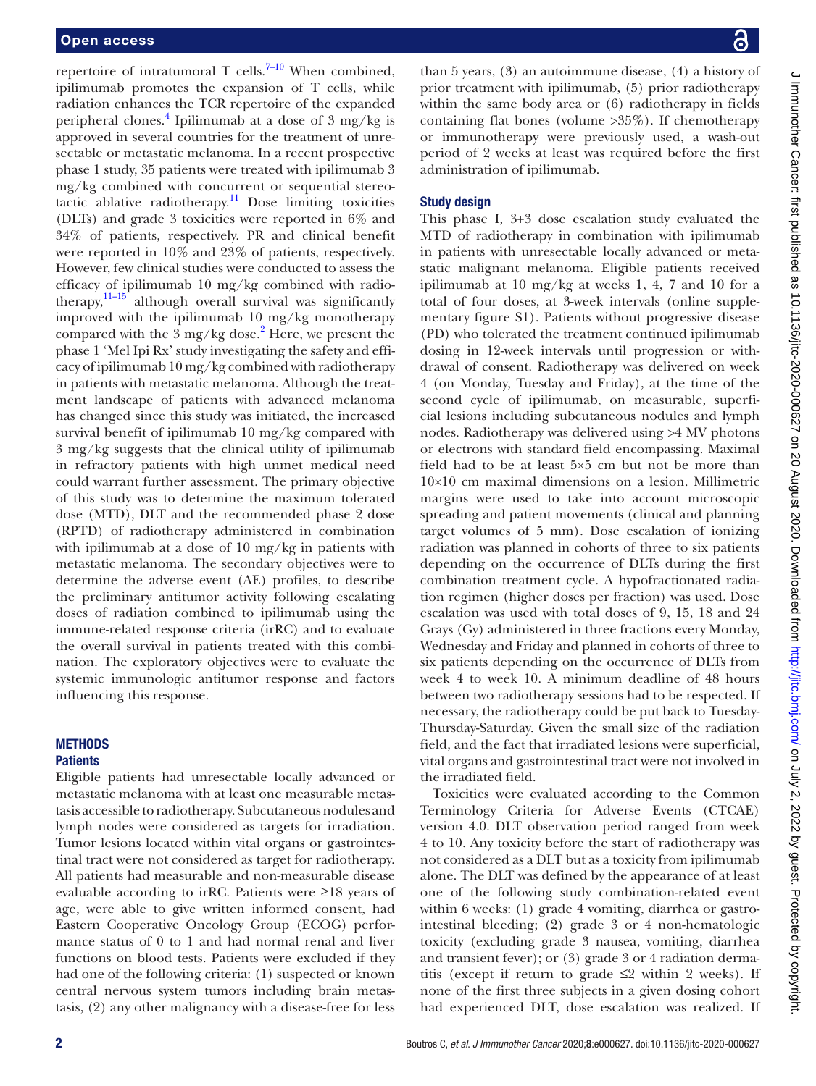repertoire of intratumoral T cells.<sup>7-10</sup> When combined, ipilimumab promotes the expansion of T cells, while radiation enhances the TCR repertoire of the expanded peripheral clones.<sup>4</sup> Ipilimumab at a dose of 3 mg/kg is approved in several countries for the treatment of unresectable or metastatic melanoma. In a recent prospective phase 1 study, 35 patients were treated with ipilimumab 3 mg/kg combined with concurrent or sequential stereotactic ablative radiotherapy.[11](#page-9-0) Dose limiting toxicities (DLTs) and grade 3 toxicities were reported in 6% and 34% of patients, respectively. PR and clinical benefit were reported in 10% and 23% of patients, respectively. However, few clinical studies were conducted to assess the efficacy of ipilimumab 10 mg/kg combined with radiotherapy, $11-15$  although overall survival was significantly improved with the ipilimumab 10 mg/kg monotherapy compared with the  $3 \text{ mg/kg}$  dose.<sup>[2](#page-8-1)</sup> Here, we present the phase 1 'Mel Ipi Rx' study investigating the safety and efficacy of ipilimumab 10 mg/kg combined with radiotherapy in patients with metastatic melanoma. Although the treatment landscape of patients with advanced melanoma has changed since this study was initiated, the increased survival benefit of ipilimumab 10 mg/kg compared with 3 mg/kg suggests that the clinical utility of ipilimumab in refractory patients with high unmet medical need could warrant further assessment. The primary objective of this study was to determine the maximum tolerated dose (MTD), DLT and the recommended phase 2 dose (RPTD) of radiotherapy administered in combination with ipilimumab at a dose of 10 mg/kg in patients with metastatic melanoma. The secondary objectives were to determine the adverse event (AE) profiles, to describe the preliminary antitumor activity following escalating doses of radiation combined to ipilimumab using the immune-related response criteria (irRC) and to evaluate the overall survival in patients treated with this combination. The exploratory objectives were to evaluate the systemic immunologic antitumor response and factors influencing this response.

## **METHODS Patients**

Eligible patients had unresectable locally advanced or metastatic melanoma with at least one measurable metastasis accessible to radiotherapy. Subcutaneous nodules and lymph nodes were considered as targets for irradiation. Tumor lesions located within vital organs or gastrointestinal tract were not considered as target for radiotherapy. All patients had measurable and non-measurable disease evaluable according to irRC. Patients were ≥18 years of age, were able to give written informed consent, had Eastern Cooperative Oncology Group (ECOG) performance status of 0 to 1 and had normal renal and liver functions on blood tests. Patients were excluded if they had one of the following criteria: (1) suspected or known central nervous system tumors including brain metastasis, (2) any other malignancy with a disease-free for less

than 5 years, (3) an autoimmune disease, (4) a history of prior treatment with ipilimumab, (5) prior radiotherapy within the same body area or (6) radiotherapy in fields containing flat bones (volume >35%). If chemotherapy or immunotherapy were previously used, a wash-out period of 2 weeks at least was required before the first administration of ipilimumab.

# **Study design**

This phase I, 3+3 dose escalation study evaluated the MTD of radiotherapy in combination with ipilimumab in patients with unresectable locally advanced or metastatic malignant melanoma. Eligible patients received ipilimumab at 10 mg/kg at weeks 1, 4, 7 and 10 for a total of four doses, at 3-week intervals ([online supple](https://dx.doi.org/10.1136/jitc-2020-000627)[mentary figure S1\)](https://dx.doi.org/10.1136/jitc-2020-000627). Patients without progressive disease (PD) who tolerated the treatment continued ipilimumab dosing in 12-week intervals until progression or withdrawal of consent. Radiotherapy was delivered on week 4 (on Monday, Tuesday and Friday), at the time of the second cycle of ipilimumab, on measurable, superficial lesions including subcutaneous nodules and lymph nodes. Radiotherapy was delivered using >4 MV photons or electrons with standard field encompassing. Maximal field had to be at least 5×5 cm but not be more than 10×10 cm maximal dimensions on a lesion. Millimetric margins were used to take into account microscopic spreading and patient movements (clinical and planning target volumes of 5 mm). Dose escalation of ionizing radiation was planned in cohorts of three to six patients depending on the occurrence of DLTs during the first combination treatment cycle. A hypofractionated radiation regimen (higher doses per fraction) was used. Dose escalation was used with total doses of 9, 15, 18 and 24 Grays (Gy) administered in three fractions every Monday, Wednesday and Friday and planned in cohorts of three to six patients depending on the occurrence of DLTs from week 4 to week 10. A minimum deadline of 48 hours between two radiotherapy sessions had to be respected. If necessary, the radiotherapy could be put back to Tuesday-Thursday-Saturday. Given the small size of the radiation field, and the fact that irradiated lesions were superficial, vital organs and gastrointestinal tract were not involved in the irradiated field.

Toxicities were evaluated according to the Common Terminology Criteria for Adverse Events (CTCAE) version 4.0. DLT observation period ranged from week 4 to 10. Any toxicity before the start of radiotherapy was not considered as a DLT but as a toxicity from ipilimumab alone. The DLT was defined by the appearance of at least one of the following study combination-related event within 6 weeks: (1) grade 4 vomiting, diarrhea or gastrointestinal bleeding; (2) grade 3 or 4 non-hematologic toxicity (excluding grade 3 nausea, vomiting, diarrhea and transient fever); or (3) grade 3 or 4 radiation dermatitis (except if return to grade  $\leq 2$  within 2 weeks). If none of the first three subjects in a given dosing cohort had experienced DLT, dose escalation was realized. If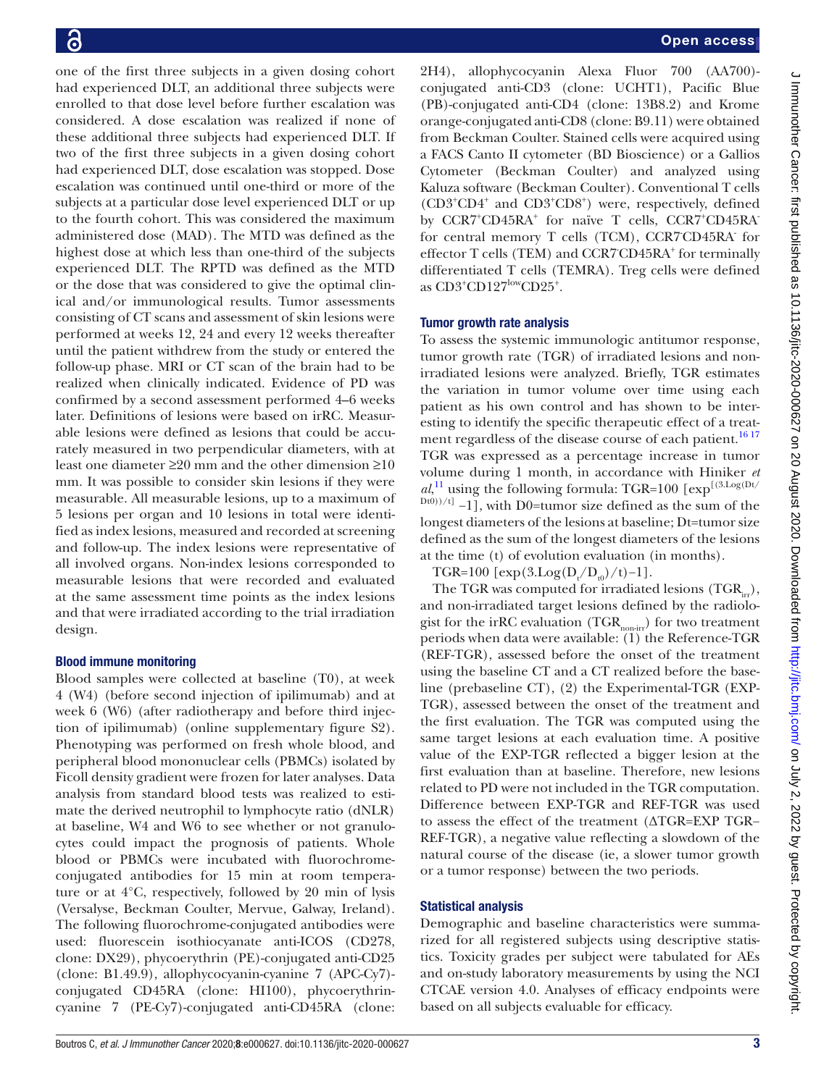one of the first three subjects in a given dosing cohort had experienced DLT, an additional three subjects were enrolled to that dose level before further escalation was considered. A dose escalation was realized if none of these additional three subjects had experienced DLT. If two of the first three subjects in a given dosing cohort had experienced DLT, dose escalation was stopped. Dose escalation was continued until one-third or more of the subjects at a particular dose level experienced DLT or up to the fourth cohort. This was considered the maximum administered dose (MAD). The MTD was defined as the highest dose at which less than one-third of the subjects experienced DLT. The RPTD was defined as the MTD or the dose that was considered to give the optimal clinical and/or immunological results. Tumor assessments consisting of CT scans and assessment of skin lesions were performed at weeks 12, 24 and every 12 weeks thereafter until the patient withdrew from the study or entered the follow-up phase. MRI or CT scan of the brain had to be realized when clinically indicated. Evidence of PD was confirmed by a second assessment performed 4–6 weeks later. Definitions of lesions were based on irRC. Measurable lesions were defined as lesions that could be accurately measured in two perpendicular diameters, with at least one diameter ≥20 mm and the other dimension ≥10 mm. It was possible to consider skin lesions if they were measurable. All measurable lesions, up to a maximum of 5 lesions per organ and 10 lesions in total were identified as index lesions, measured and recorded at screening and follow-up. The index lesions were representative of all involved organs. Non-index lesions corresponded to measurable lesions that were recorded and evaluated at the same assessment time points as the index lesions and that were irradiated according to the trial irradiation design.

## Blood immune monitoring

Blood samples were collected at baseline (T0), at week 4 (W4) (before second injection of ipilimumab) and at week 6 (W6) (after radiotherapy and before third injection of ipilimumab) [\(online supplementary figure S2](https://dx.doi.org/10.1136/jitc-2020-000627)). Phenotyping was performed on fresh whole blood, and peripheral blood mononuclear cells (PBMCs) isolated by Ficoll density gradient were frozen for later analyses. Data analysis from standard blood tests was realized to estimate the derived neutrophil to lymphocyte ratio (dNLR) at baseline, W4 and W6 to see whether or not granulocytes could impact the prognosis of patients. Whole blood or PBMCs were incubated with fluorochromeconjugated antibodies for 15 min at room temperature or at 4°C, respectively, followed by 20 min of lysis (Versalyse, Beckman Coulter, Mervue, Galway, Ireland). The following fluorochrome-conjugated antibodies were used: fluorescein isothiocyanate anti-ICOS (CD278, clone: DX29), phycoerythrin (PE)-conjugated anti-CD25 (clone: B1.49.9), allophycocyanin-cyanine 7 (APC-Cy7) conjugated CD45RA (clone: HI100), phycoerythrincyanine 7 (PE-Cy7)-conjugated anti-CD45RA (clone:

2H4), allophycocyanin Alexa Fluor 700 (AA700) conjugated anti-CD3 (clone: UCHT1), Pacific Blue (PB)-conjugated anti-CD4 (clone: 13B8.2) and Krome orange-conjugated anti-CD8 (clone: B9.11) were obtained from Beckman Coulter. Stained cells were acquired using a FACS Canto II cytometer (BD Bioscience) or a Gallios Cytometer (Beckman Coulter) and analyzed using Kaluza software (Beckman Coulter). Conventional T cells (CD3<sup>+</sup> CD4+ and CD3+ CD8+ ) were, respectively, defined by CCR7<sup>+</sup>CD45RA<sup>+</sup> for naïve T cells, CCR7<sup>+</sup>CD45RA for central memory T cells (TCM), CCR7CD45RA for effector T cells (TEM) and CCR7CD45RA<sup>+</sup> for terminally differentiated T cells (TEMRA). Treg cells were defined as CD3<sup>+</sup> CD127lowCD25+ .

# Tumor growth rate analysis

To assess the systemic immunologic antitumor response, tumor growth rate (TGR) of irradiated lesions and nonirradiated lesions were analyzed. Briefly, TGR estimates the variation in tumor volume over time using each patient as his own control and has shown to be interesting to identify the specific therapeutic effect of a treat-ment regardless of the disease course of each patient.<sup>[16 17](#page-9-1)</sup> TGR was expressed as a percentage increase in tumor volume during 1 month, in accordance with Hiniker *et*   $al$ <sup>11</sup> using the following formula: TGR=100 [ $\exp^{[(3.\text{Log}(Dt/\delta)]})$  $D^{(0)}$ <sub> $(1)$ </sub> $-1$ ], with D0=tumor size defined as the sum of the longest diameters of the lesions at baseline; Dt=tumor size defined as the sum of the longest diameters of the lesions at the time (t) of evolution evaluation (in months).

TGR=100 [ $\exp(3.\text{Log}(D_t/D_{t0})/t)-1$ ].

The TGR was computed for irradiated lesions  $(TGR_{n})$ , and non-irradiated target lesions defined by the radiologist for the irRC evaluation  $(TGR_{\text{non-irr}})$  for two treatment periods when data were available: (1) the Reference-TGR (REF-TGR), assessed before the onset of the treatment using the baseline CT and a CT realized before the baseline (prebaseline CT), (2) the Experimental-TGR (EXP-TGR), assessed between the onset of the treatment and the first evaluation. The TGR was computed using the same target lesions at each evaluation time. A positive value of the EXP-TGR reflected a bigger lesion at the first evaluation than at baseline. Therefore, new lesions related to PD were not included in the TGR computation. Difference between EXP-TGR and REF-TGR was used to assess the effect of the treatment (ΔTGR=EXP TGR− REF-TGR), a negative value reflecting a slowdown of the natural course of the disease (ie, a slower tumor growth or a tumor response) between the two periods.

# Statistical analysis

Demographic and baseline characteristics were summarized for all registered subjects using descriptive statistics. Toxicity grades per subject were tabulated for AEs and on-study laboratory measurements by using the NCI CTCAE version 4.0. Analyses of efficacy endpoints were based on all subjects evaluable for efficacy.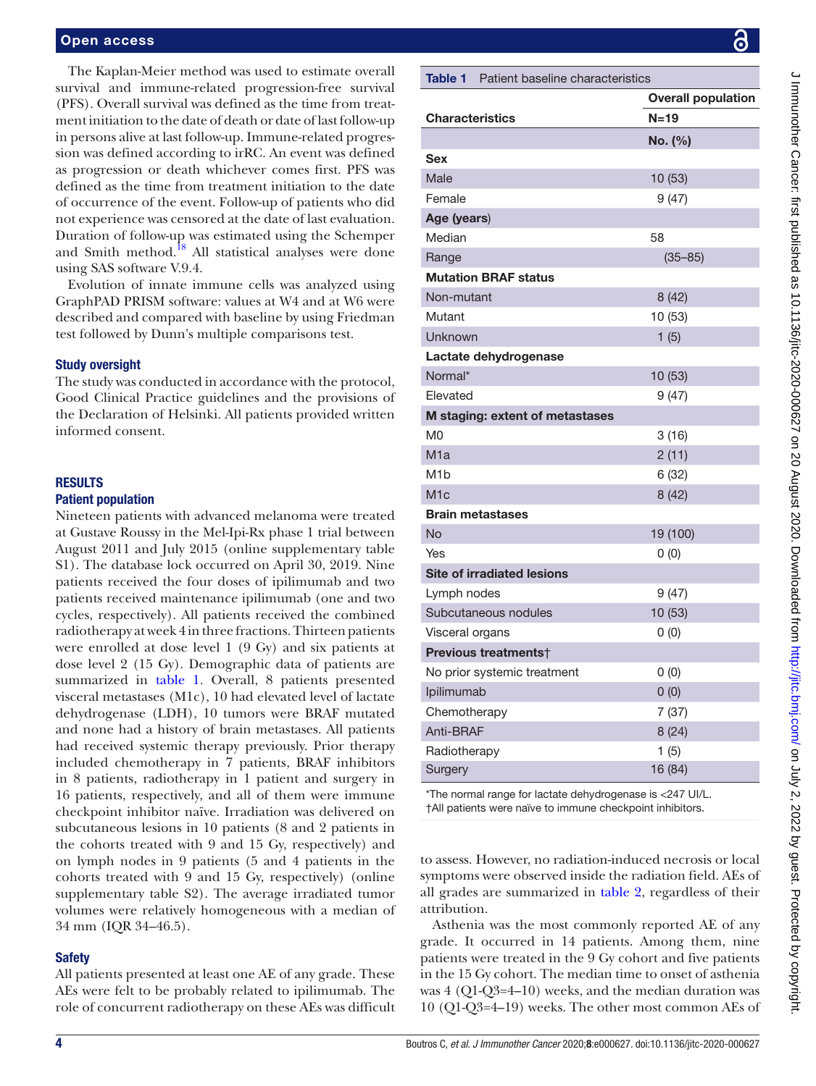The Kaplan-Meier method was used to estimate overall survival and immune-related progression-free survival (PFS). Overall survival was defined as the time from treatment initiation to the date of death or date of last follow-up in persons alive at last follow-up. Immune-related progression was defined according to irRC. An event was defined as progression or death whichever comes first. PFS was defined as the time from treatment initiation to the date of occurrence of the event. Follow-up of patients who did not experience was censored at the date of last evaluation. Duration of follow-up was estimated using the Schemper and Smith method.<sup>18</sup> All statistical analyses were done using SAS software V.9.4.

Evolution of innate immune cells was analyzed using GraphPAD PRISM software: values at W4 and at W6 were described and compared with baseline by using Friedman test followed by Dunn's multiple comparisons test.

#### Study oversight

The study was conducted in accordance with the protocol, Good Clinical Practice guidelines and the provisions of the Declaration of Helsinki. All patients provided written informed consent.

#### **RESULTS**

#### Patient population

Nineteen patients with advanced melanoma were treated at Gustave Roussy in the Mel-Ipi-Rx phase 1 trial between August 2011 and July 2015 ([online supplementary table](https://dx.doi.org/10.1136/jitc-2020-000627) [S1\)](https://dx.doi.org/10.1136/jitc-2020-000627). The database lock occurred on April 30, 2019. Nine patients received the four doses of ipilimumab and two patients received maintenance ipilimumab (one and two cycles, respectively). All patients received the combined radiotherapy at week 4 in three fractions. Thirteen patients were enrolled at dose level 1 (9 Gy) and six patients at dose level 2 (15 Gy). Demographic data of patients are summarized in [table](#page-3-0) 1. Overall, 8 patients presented visceral metastases (M1c), 10 had elevated level of lactate dehydrogenase (LDH), 10 tumors were BRAF mutated and none had a history of brain metastases. All patients had received systemic therapy previously. Prior therapy included chemotherapy in 7 patients, BRAF inhibitors in 8 patients, radiotherapy in 1 patient and surgery in 16 patients, respectively, and all of them were immune checkpoint inhibitor naïve. Irradiation was delivered on subcutaneous lesions in 10 patients (8 and 2 patients in the cohorts treated with 9 and 15 Gy, respectively) and on lymph nodes in 9 patients (5 and 4 patients in the cohorts treated with 9 and 15 Gy, respectively) [\(online](https://dx.doi.org/10.1136/jitc-2020-000627) [supplementary table S2\)](https://dx.doi.org/10.1136/jitc-2020-000627). The average irradiated tumor volumes were relatively homogeneous with a median of 34 mm (IQR 34–46.5).

#### **Safety**

All patients presented at least one AE of any grade. These AEs were felt to be probably related to ipilimumab. The role of concurrent radiotherapy on these AEs was difficult

| $i$ anic $i$<br><b>Example to the conduction of the conduct of the conduct of the conduct of the conduct of the conduct of the conduct of the conduct of the conduct of the conduct of the conduct of the conduct of the conduct of the conduct </b> |                           |  |  |  |  |
|------------------------------------------------------------------------------------------------------------------------------------------------------------------------------------------------------------------------------------------------------|---------------------------|--|--|--|--|
|                                                                                                                                                                                                                                                      | <b>Overall population</b> |  |  |  |  |
| <b>Characteristics</b>                                                                                                                                                                                                                               | $N=19$                    |  |  |  |  |
|                                                                                                                                                                                                                                                      | No. (%)                   |  |  |  |  |
| Sex                                                                                                                                                                                                                                                  |                           |  |  |  |  |
| Male                                                                                                                                                                                                                                                 | 10 (53)                   |  |  |  |  |
| Female                                                                                                                                                                                                                                               | 9(47)                     |  |  |  |  |
| Age (years)                                                                                                                                                                                                                                          |                           |  |  |  |  |
| Median                                                                                                                                                                                                                                               | 58                        |  |  |  |  |
| Range                                                                                                                                                                                                                                                | $(35 - 85)$               |  |  |  |  |
| <b>Mutation BRAF status</b>                                                                                                                                                                                                                          |                           |  |  |  |  |
| Non-mutant                                                                                                                                                                                                                                           | 8(42)                     |  |  |  |  |
| Mutant                                                                                                                                                                                                                                               | 10 (53)                   |  |  |  |  |
| Unknown                                                                                                                                                                                                                                              | 1(5)                      |  |  |  |  |
| Lactate dehydrogenase                                                                                                                                                                                                                                |                           |  |  |  |  |
| Normal*                                                                                                                                                                                                                                              | 10 (53)                   |  |  |  |  |
| Elevated                                                                                                                                                                                                                                             | 9 (47)                    |  |  |  |  |
| M staging: extent of metastases                                                                                                                                                                                                                      |                           |  |  |  |  |
| M <sub>0</sub>                                                                                                                                                                                                                                       | 3(16)                     |  |  |  |  |
| M <sub>1</sub> a                                                                                                                                                                                                                                     | 2(11)                     |  |  |  |  |
| M1b                                                                                                                                                                                                                                                  | 6(32)                     |  |  |  |  |
| M <sub>1</sub> c                                                                                                                                                                                                                                     | 8(42)                     |  |  |  |  |
| <b>Brain metastases</b>                                                                                                                                                                                                                              |                           |  |  |  |  |
| No                                                                                                                                                                                                                                                   | 19 (100)                  |  |  |  |  |
| Yes                                                                                                                                                                                                                                                  | 0(0)                      |  |  |  |  |
| <b>Site of irradiated lesions</b>                                                                                                                                                                                                                    |                           |  |  |  |  |
| Lymph nodes                                                                                                                                                                                                                                          | 9(47)                     |  |  |  |  |
| Subcutaneous nodules                                                                                                                                                                                                                                 | 10 (53)                   |  |  |  |  |
| Visceral organs                                                                                                                                                                                                                                      | 0(0)                      |  |  |  |  |
| Previous treatments†                                                                                                                                                                                                                                 |                           |  |  |  |  |
| No prior systemic treatment                                                                                                                                                                                                                          | 0(0)                      |  |  |  |  |
| Ipilimumab                                                                                                                                                                                                                                           | 0(0)                      |  |  |  |  |
| Chemotherapy                                                                                                                                                                                                                                         | 7(37)                     |  |  |  |  |
| Anti-BRAF                                                                                                                                                                                                                                            | 8(24)                     |  |  |  |  |
| Radiotherapy                                                                                                                                                                                                                                         | 1(5)                      |  |  |  |  |
| Surgery                                                                                                                                                                                                                                              | 16 (84)                   |  |  |  |  |
|                                                                                                                                                                                                                                                      |                           |  |  |  |  |

<span id="page-3-0"></span>Table 1 Patient baseline characteristic

\*The normal range for lactate dehydrogenase is <247 UI/L. †All patients were naïve to immune checkpoint inhibitors.

to assess. However, no radiation-induced necrosis or local symptoms were observed inside the radiation field. AEs of all grades are summarized in [table](#page-4-0) 2, regardless of their attribution.

Asthenia was the most commonly reported AE of any grade. It occurred in 14 patients. Among them, nine patients were treated in the 9 Gy cohort and five patients in the 15 Gy cohort. The median time to onset of asthenia was 4 (Q1-Q3=4–10) weeks, and the median duration was 10 (Q1-Q3=4–19) weeks. The other most common AEs of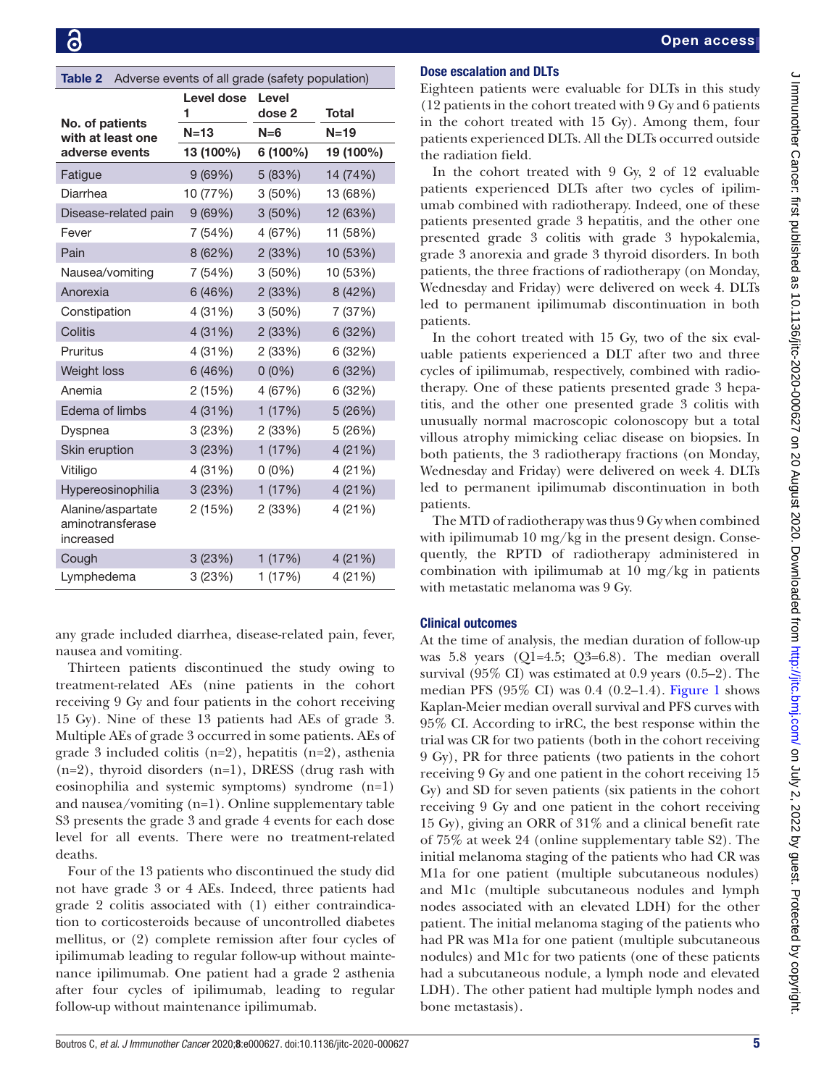<span id="page-4-0"></span>

| Adverse events of all grade (safety population)<br><b>Table 2</b> |                    |                 |              |  |  |  |
|-------------------------------------------------------------------|--------------------|-----------------|--------------|--|--|--|
|                                                                   | Level dose<br>1    | Level<br>dose 2 | <b>Total</b> |  |  |  |
| No. of patients<br>with at least one                              | $N=13$             | $N = 6$         | $N=19$       |  |  |  |
| adverse events                                                    | 13 (100%)          | 6 (100%)        | 19 (100%)    |  |  |  |
| Fatigue                                                           | 9(69%)             | 5 (83%)         | 14 (74%)     |  |  |  |
| Diarrhea                                                          | 10 (77%)           | 3(50%)          | 13 (68%)     |  |  |  |
| Disease-related pain                                              | 9(69%)             | 3(50%)          | 12 (63%)     |  |  |  |
| Fever                                                             | 4 (67%)<br>7 (54%) |                 | 11 (58%)     |  |  |  |
| Pain                                                              | 8 (62%)            | 2(33%)          | 10 (53%)     |  |  |  |
| Nausea/vomiting                                                   | 7 (54%)            | 3(50%)          | 10 (53%)     |  |  |  |
| Anorexia                                                          | 6 (46%)            | 2(33%)          | 8 (42%)      |  |  |  |
| Constipation                                                      | 4 (31%)            | 3(50%)          | 7 (37%)      |  |  |  |
| Colitis                                                           | 4 (31%)            | 2(33%)          | 6 (32%)      |  |  |  |
| Pruritus                                                          | 4 (31%)            | 2(33%)          | 6 (32%)      |  |  |  |
| Weight loss                                                       | 6(46%)             | $0(0\%)$        | 6(32%)       |  |  |  |
| Anemia                                                            | 2(15%)             | 4 (67%)         | 6 (32%)      |  |  |  |
| Edema of limbs                                                    | 4 (31%)            | 1(17%)          | 5 (26%)      |  |  |  |
| Dyspnea                                                           | 3 (23%)            | 2 (33%)         | 5 (26%)      |  |  |  |
| Skin eruption                                                     | 3(23%)             | 1(17%)          | 4 (21%)      |  |  |  |
| Vitiligo                                                          | 4 (31%)            | $0(0\%)$        | 4 (21%)      |  |  |  |
| Hypereosinophilia                                                 | 3(23%)             | 1(17%)          | 4 (21%)      |  |  |  |
| Alanine/aspartate<br>aminotransferase<br>increased                | 2(15%)             | 2 (33%)         | 4 (21%)      |  |  |  |
| Cough                                                             | 3(23%)             | 1(17%)          | 4 (21%)      |  |  |  |
| Lymphedema                                                        | 3(23%)             | 1 (17%)         | 4 (21%)      |  |  |  |

any grade included diarrhea, disease-related pain, fever, nausea and vomiting.

Thirteen patients discontinued the study owing to treatment-related AEs (nine patients in the cohort receiving 9 Gy and four patients in the cohort receiving 15 Gy). Nine of these 13 patients had AEs of grade 3. Multiple AEs of grade 3 occurred in some patients. AEs of grade 3 included colitis (n=2), hepatitis (n=2), asthenia (n=2), thyroid disorders (n=1), DRESS (drug rash with eosinophilia and systemic symptoms) syndrome (n=1) and nausea/vomiting (n=1). [Online supplementary table](https://dx.doi.org/10.1136/jitc-2020-000627) [S3](https://dx.doi.org/10.1136/jitc-2020-000627) presents the grade 3 and grade 4 events for each dose level for all events. There were no treatment-related deaths.

Four of the 13 patients who discontinued the study did not have grade 3 or 4 AEs. Indeed, three patients had grade 2 colitis associated with (1) either contraindication to corticosteroids because of uncontrolled diabetes mellitus, or (2) complete remission after four cycles of ipilimumab leading to regular follow-up without maintenance ipilimumab. One patient had a grade 2 asthenia after four cycles of ipilimumab, leading to regular follow-up without maintenance ipilimumab.

# Dose escalation and DLTs

Eighteen patients were evaluable for DLTs in this study (12 patients in the cohort treated with 9 Gy and 6 patients in the cohort treated with 15 Gy). Among them, four patients experienced DLTs. All the DLTs occurred outside the radiation field.

In the cohort treated with 9 Gy, 2 of 12 evaluable patients experienced DLTs after two cycles of ipilimumab combined with radiotherapy. Indeed, one of these patients presented grade 3 hepatitis, and the other one presented grade 3 colitis with grade 3 hypokalemia, grade 3 anorexia and grade 3 thyroid disorders. In both patients, the three fractions of radiotherapy (on Monday, Wednesday and Friday) were delivered on week 4. DLTs led to permanent ipilimumab discontinuation in both patients.

In the cohort treated with 15 Gy, two of the six evaluable patients experienced a DLT after two and three cycles of ipilimumab, respectively, combined with radiotherapy. One of these patients presented grade 3 hepatitis, and the other one presented grade 3 colitis with unusually normal macroscopic colonoscopy but a total villous atrophy mimicking celiac disease on biopsies. In both patients, the 3 radiotherapy fractions (on Monday, Wednesday and Friday) were delivered on week 4. DLTs led to permanent ipilimumab discontinuation in both patients.

The MTD of radiotherapy was thus 9 Gy when combined with ipilimumab 10 mg/kg in the present design. Consequently, the RPTD of radiotherapy administered in combination with ipilimumab at 10 mg/kg in patients with metastatic melanoma was 9 Gy.

# Clinical outcomes

At the time of analysis, the median duration of follow-up was 5.8 years (Q1=4.5; Q3=6.8). The median overall survival (95% CI) was estimated at 0.9 years (0.5–2). The median PFS  $(95\% \text{ CI})$  was 0.4  $(0.2-1.4)$ . [Figure](#page-5-0) 1 shows Kaplan-Meier median overall survival and PFS curves with 95% CI. According to irRC, the best response within the trial was CR for two patients (both in the cohort receiving 9 Gy), PR for three patients (two patients in the cohort receiving 9 Gy and one patient in the cohort receiving 15 Gy) and SD for seven patients (six patients in the cohort receiving 9 Gy and one patient in the cohort receiving 15 Gy), giving an ORR of 31% and a clinical benefit rate of 75% at week 24 ([online supplementary table S2](https://dx.doi.org/10.1136/jitc-2020-000627)). The initial melanoma staging of the patients who had CR was M1a for one patient (multiple subcutaneous nodules) and M1c (multiple subcutaneous nodules and lymph nodes associated with an elevated LDH) for the other patient. The initial melanoma staging of the patients who had PR was M1a for one patient (multiple subcutaneous nodules) and M1c for two patients (one of these patients had a subcutaneous nodule, a lymph node and elevated LDH). The other patient had multiple lymph nodes and bone metastasis).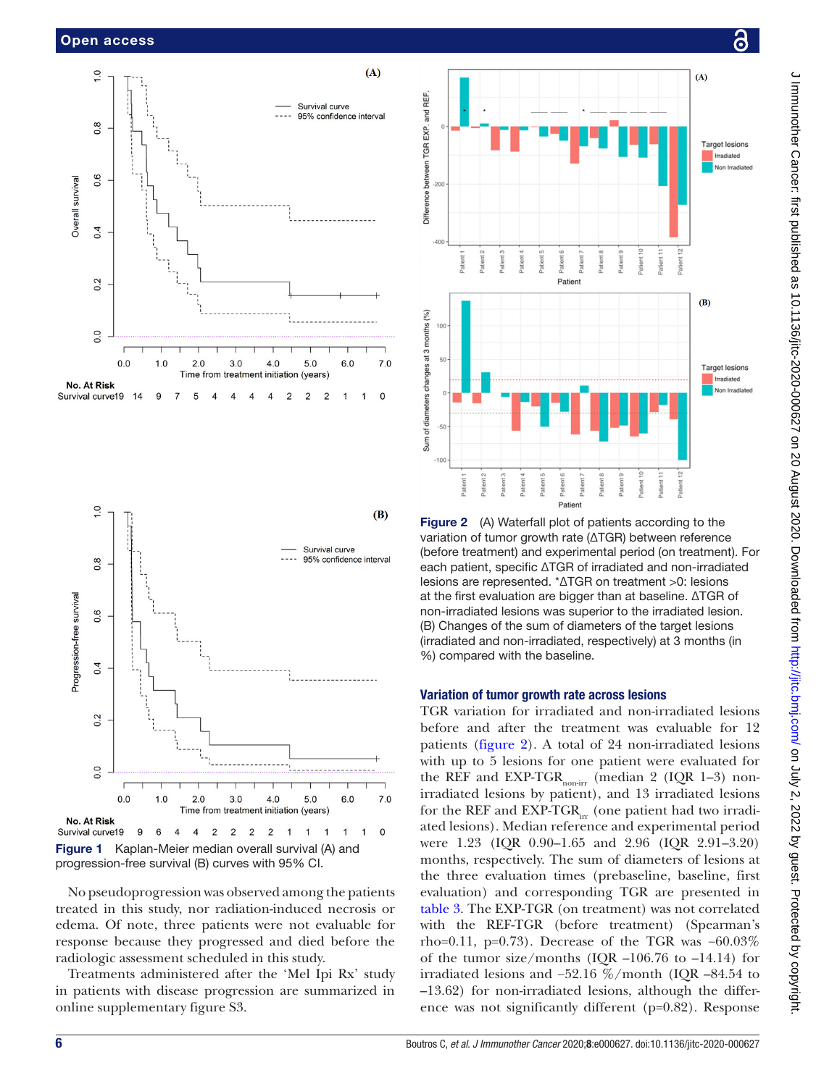



<span id="page-5-0"></span>progression-free survival (B) curves with 95% CI.

No pseudoprogression was observed among the patients treated in this study, nor radiation-induced necrosis or edema. Of note, three patients were not evaluable for response because they progressed and died before the radiologic assessment scheduled in this study.

Treatments administered after the 'Mel Ipi Rx' study in patients with disease progression are summarized in [online supplementary figure S3.](https://dx.doi.org/10.1136/jitc-2020-000627)



<span id="page-5-1"></span>Figure 2 (A) Waterfall plot of patients according to the variation of tumor growth rate (ΔTGR) between reference (before treatment) and experimental period (on treatment). For each patient, specific ΔTGR of irradiated and non-irradiated lesions are represented. \*ΔTGR on treatment >0: lesions at the first evaluation are bigger than at baseline. ΔTGR of non-irradiated lesions was superior to the irradiated lesion. (B) Changes of the sum of diameters of the target lesions (irradiated and non-irradiated, respectively) at 3 months (in %) compared with the baseline.

#### Variation of tumor growth rate across lesions

TGR variation for irradiated and non-irradiated lesions before and after the treatment was evaluable for 12 patients ([figure](#page-5-1) 2). A total of 24 non-irradiated lesions with up to 5 lesions for one patient were evaluated for the REF and  $EXP-TCR_{non-irr}$  (median 2 (IQR 1–3) nonirradiated lesions by patient), and 13 irradiated lesions for the REF and  $EXP-TCR_{irr}$  (one patient had two irradiated lesions). Median reference and experimental period were 1.23 (IQR 0.90–1.65 and 2.96 (IQR 2.91–3.20) months, respectively. The sum of diameters of lesions at the three evaluation times (prebaseline, baseline, first evaluation) and corresponding TGR are presented in [table](#page-6-0) 3. The EXP-TGR (on treatment) was not correlated with the REF-TGR (before treatment) (Spearman's rho=0.11, p=0.73). Decrease of the TGR was  $-60.03\%$ of the tumor size/months (IQR  $-106.76$  to  $-14.14$ ) for irradiated lesions and −52.16 %/month (IQR –84.54 to –13.62) for non-irradiated lesions, although the difference was not significantly different (p=0.82). Response

ဥ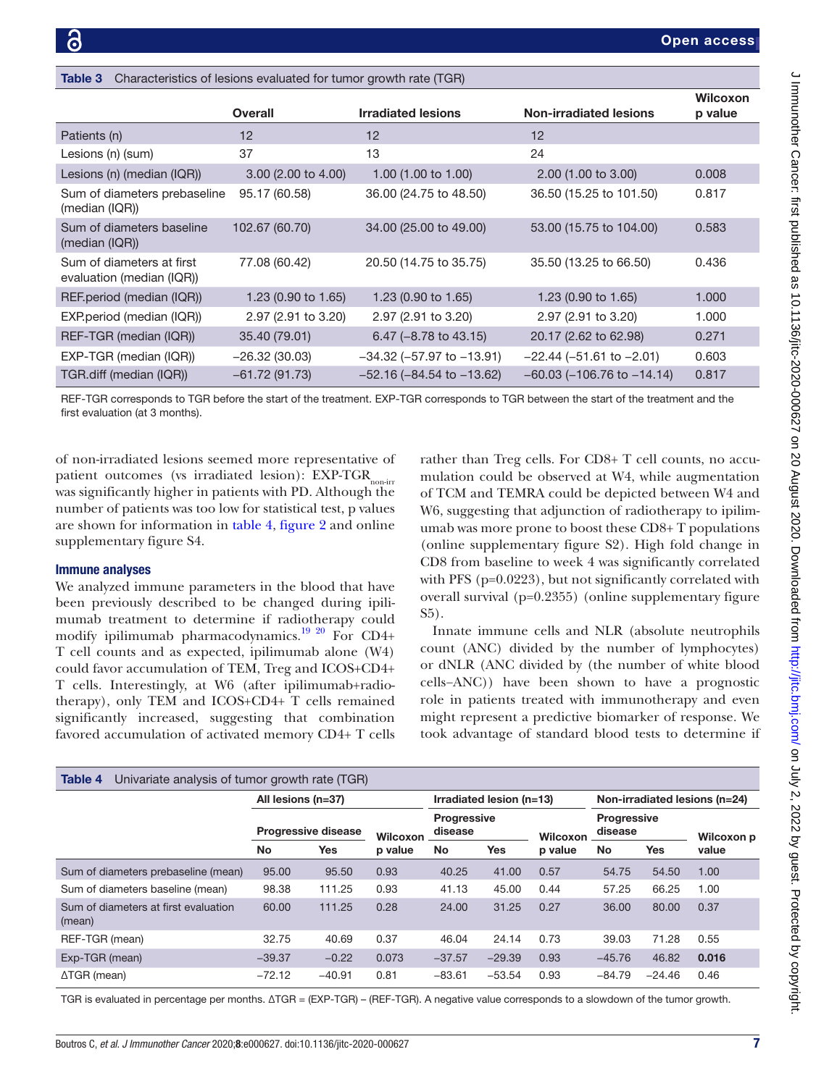|                                                        | <b>Overall</b>                 | <b>Irradiated lesions</b>         | <b>Non-irradiated lesions</b>      | Wilcoxon<br>p value |
|--------------------------------------------------------|--------------------------------|-----------------------------------|------------------------------------|---------------------|
| Patients (n)                                           | 12                             | 12                                | 12                                 |                     |
| Lesions (n) (sum)                                      | 37                             | 13                                | 24                                 |                     |
| Lesions (n) (median (IQR))                             | $3.00$ (2.00 to 4.00)          | 1.00 $(1.00 \text{ to } 1.00)$    | 2.00 (1.00 to 3.00)                | 0.008               |
| Sum of diameters prebaseline<br>(median (IQR))         | 95.17 (60.58)                  | 36.00 (24.75 to 48.50)            | 36.50 (15.25 to 101.50)            | 0.817               |
| Sum of diameters baseline<br>(median (IQR))            | 102.67 (60.70)                 | 34.00 (25.00 to 49.00)            | 53.00 (15.75 to 104.00)            | 0.583               |
| Sum of diameters at first<br>evaluation (median (IQR)) | 77.08 (60.42)                  | 20.50 (14.75 to 35.75)            | 35.50 (13.25 to 66.50)             | 0.436               |
| REF.period (median (IQR))                              | 1.23 $(0.90 \text{ to } 1.65)$ | 1.23 (0.90 to 1.65)               | 1.23 $(0.90 \text{ to } 1.65)$     | 1.000               |
| EXP.period (median (IQR))                              | 2.97 (2.91 to 3.20)            | 2.97 (2.91 to 3.20)               | 2.97 (2.91 to 3.20)                | 1.000               |
| REF-TGR (median (IQR))                                 | 35.40 (79.01)                  | 6.47 $(-8.78 \text{ to } 43.15)$  | 20.17 (2.62 to 62.98)              | 0.271               |
| EXP-TGR (median (IQR))                                 | $-26.32(30.03)$                | $-34.32$ ( $-57.97$ to $-13.91$ ) | $-22.44$ ( $-51.61$ to $-2.01$ )   | 0.603               |
| TGR.diff (median (IQR))                                | $-61.72(91.73)$                | $-52.16$ ( $-84.54$ to $-13.62$ ) | $-60.03$ ( $-106.76$ to $-14.14$ ) | 0.817               |

REF-TGR corresponds to TGR before the start of the treatment. EXP-TGR corresponds to TGR between the start of the treatment and the first evaluation (at 3 months).

of non-irradiated lesions seemed more representative of patient outcomes (vs irradiated lesion):  $EXP-TCR_{\text{non-irr}}$ was significantly higher in patients with PD. Although the number of patients was too low for statistical test, p values are shown for information in [table](#page-6-1) 4, [figure](#page-5-1) 2 and [online](https://dx.doi.org/10.1136/jitc-2020-000627) [supplementary figure S4.](https://dx.doi.org/10.1136/jitc-2020-000627)

<span id="page-6-0"></span>Table 3 Characteristics of lesions evaluated for tumor growth rate (TGR)

#### Immune analyses

We analyzed immune parameters in the blood that have been previously described to be changed during ipilimumab treatment to determine if radiotherapy could modify ipilimumab pharmacodynamics.<sup>19</sup> <sup>20</sup> For CD4+ T cell counts and as expected, ipilimumab alone (W4) could favor accumulation of TEM, Treg and ICOS+CD4+ T cells. Interestingly, at W6 (after ipilimumab+radiotherapy), only TEM and ICOS+CD4+ T cells remained significantly increased, suggesting that combination favored accumulation of activated memory CD4+ T cells rather than Treg cells. For CD8+ T cell counts, no accumulation could be observed at W4, while augmentation of TCM and TEMRA could be depicted between W4 and W6, suggesting that adjunction of radiotherapy to ipilimumab was more prone to boost these CD8+ T populations [\(online supplementary figure S2](https://dx.doi.org/10.1136/jitc-2020-000627)). High fold change in CD8 from baseline to week 4 was significantly correlated with PFS (p=0.0223), but not significantly correlated with overall survival (p=0.2355) [\(online supplementary figure](https://dx.doi.org/10.1136/jitc-2020-000627)  [S5](https://dx.doi.org/10.1136/jitc-2020-000627)).

Innate immune cells and NLR (absolute neutrophils count (ANC) divided by the number of lymphocytes) or dNLR (ANC divided by (the number of white blood cells−ANC)) have been shown to have a prognostic role in patients treated with immunotherapy and even might represent a predictive biomarker of response. We took advantage of standard blood tests to determine if

<span id="page-6-1"></span>

| Univariate analysis of tumor growth rate (TGR)<br>Table 4 |                            |            |          |                               |            |                 |                               |            |            |
|-----------------------------------------------------------|----------------------------|------------|----------|-------------------------------|------------|-----------------|-------------------------------|------------|------------|
|                                                           | All lesions (n=37)         |            |          | Irradiated lesion (n=13)      |            |                 | Non-irradiated lesions (n=24) |            |            |
|                                                           | <b>Progressive disease</b> |            | Wilcoxon | <b>Progressive</b><br>disease |            | <b>Wilcoxon</b> | <b>Progressive</b><br>disease |            | Wilcoxon p |
|                                                           | No                         | <b>Yes</b> | p value  | No                            | <b>Yes</b> | p value         | <b>No</b>                     | <b>Yes</b> | value      |
| Sum of diameters prebaseline (mean)                       | 95.00                      | 95.50      | 0.93     | 40.25                         | 41.00      | 0.57            | 54.75                         | 54.50      | 1.00       |
| Sum of diameters baseline (mean)                          | 98.38                      | 111.25     | 0.93     | 41.13                         | 45.00      | 0.44            | 57.25                         | 66.25      | 1.00       |
| Sum of diameters at first evaluation<br>(mean)            | 60.00                      | 111.25     | 0.28     | 24.00                         | 31.25      | 0.27            | 36.00                         | 80.00      | 0.37       |
| REF-TGR (mean)                                            | 32.75                      | 40.69      | 0.37     | 46.04                         | 24.14      | 0.73            | 39.03                         | 71.28      | 0.55       |
| Exp-TGR (mean)                                            | $-39.37$                   | $-0.22$    | 0.073    | $-37.57$                      | $-29.39$   | 0.93            | $-45.76$                      | 46.82      | 0.016      |
| $\Delta TGR$ (mean)                                       | $-72.12$                   | $-40.91$   | 0.81     | $-83.61$                      | $-53.54$   | 0.93            | $-84.79$                      | $-24.46$   | 0.46       |
| --- - -                                                   | $\cdot$ $ -$               |            | $    -$  |                               |            |                 |                               |            |            |

TGR is evaluated in percentage per months. ΔTGR = (EXP-TGR) – (REF-TGR). A negative value corresponds to a slowdown of the tumor growth.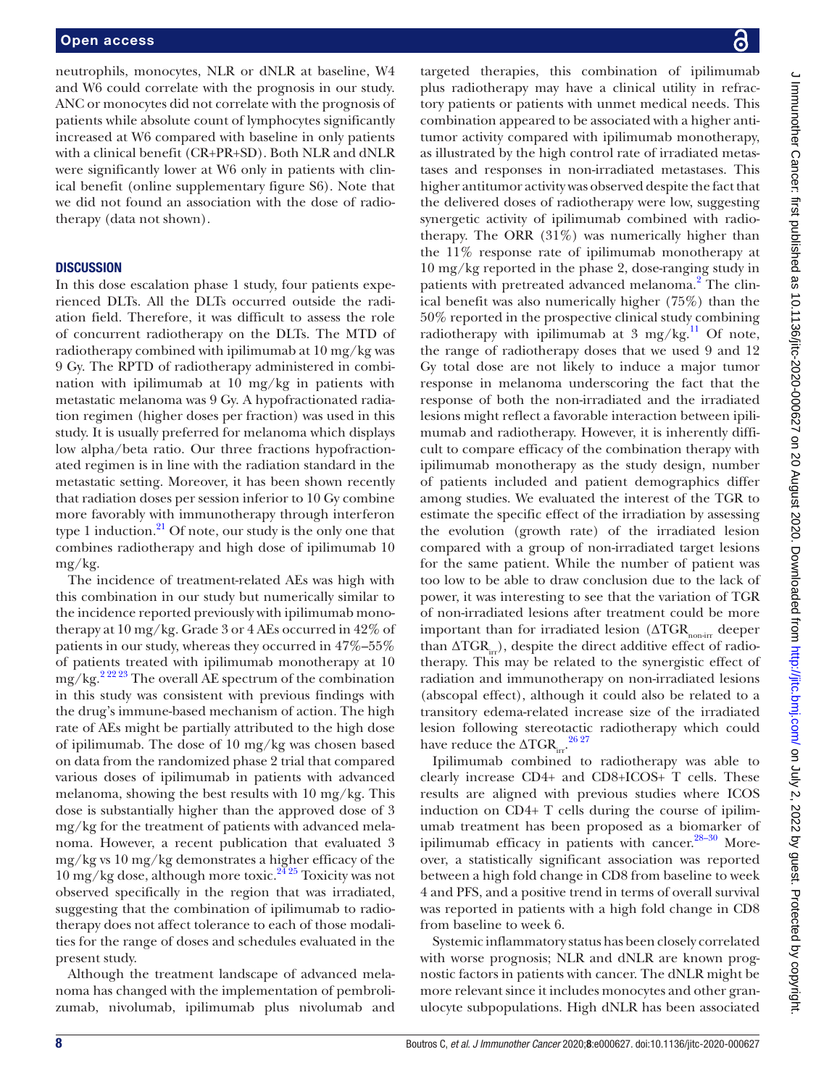neutrophils, monocytes, NLR or dNLR at baseline, W4 and W6 could correlate with the prognosis in our study. ANC or monocytes did not correlate with the prognosis of patients while absolute count of lymphocytes significantly increased at W6 compared with baseline in only patients with a clinical benefit (CR+PR+SD). Both NLR and dNLR were significantly lower at W6 only in patients with clinical benefit [\(online supplementary figure S6](https://dx.doi.org/10.1136/jitc-2020-000627)). Note that we did not found an association with the dose of radiotherapy (data not shown).

#### **DISCUSSION**

In this dose escalation phase 1 study, four patients experienced DLTs. All the DLTs occurred outside the radiation field. Therefore, it was difficult to assess the role of concurrent radiotherapy on the DLTs. The MTD of radiotherapy combined with ipilimumab at 10 mg/kg was 9 Gy. The RPTD of radiotherapy administered in combination with ipilimumab at 10 mg/kg in patients with metastatic melanoma was 9 Gy. A hypofractionated radiation regimen (higher doses per fraction) was used in this study. It is usually preferred for melanoma which displays low alpha/beta ratio. Our three fractions hypofractionated regimen is in line with the radiation standard in the metastatic setting. Moreover, it has been shown recently that radiation doses per session inferior to 10 Gy combine more favorably with immunotherapy through interferon type 1 induction. $^{21}$  Of note, our study is the only one that combines radiotherapy and high dose of ipilimumab 10 mg/kg.

The incidence of treatment-related AEs was high with this combination in our study but numerically similar to the incidence reported previously with ipilimumab monotherapy at 10 mg/kg. Grade 3 or 4 AEs occurred in 42% of patients in our study, whereas they occurred in 47%–55% of patients treated with ipilimumab monotherapy at 10  $mg/kg$ .<sup>2 22 23</sup> The overall AE spectrum of the combination in this study was consistent with previous findings with the drug's immune-based mechanism of action. The high rate of AEs might be partially attributed to the high dose of ipilimumab. The dose of 10 mg/kg was chosen based on data from the randomized phase 2 trial that compared various doses of ipilimumab in patients with advanced melanoma, showing the best results with 10 mg/kg. This dose is substantially higher than the approved dose of 3 mg/kg for the treatment of patients with advanced melanoma. However, a recent publication that evaluated 3 mg/kg vs 10 mg/kg demonstrates a higher efficacy of the  $10 \text{ mg/kg}$  dose, although more toxic.<sup>[24 25](#page-9-5)</sup> Toxicity was not observed specifically in the region that was irradiated, suggesting that the combination of ipilimumab to radiotherapy does not affect tolerance to each of those modalities for the range of doses and schedules evaluated in the present study.

Although the treatment landscape of advanced melanoma has changed with the implementation of pembrolizumab, nivolumab, ipilimumab plus nivolumab and

targeted therapies, this combination of ipilimumab plus radiotherapy may have a clinical utility in refractory patients or patients with unmet medical needs. This combination appeared to be associated with a higher antitumor activity compared with ipilimumab monotherapy, as illustrated by the high control rate of irradiated metastases and responses in non-irradiated metastases. This higher antitumor activity was observed despite the fact that the delivered doses of radiotherapy were low, suggesting synergetic activity of ipilimumab combined with radiotherapy. The ORR (31%) was numerically higher than the 11% response rate of ipilimumab monotherapy at 10 mg/kg reported in the phase 2, dose-ranging study in patients with pretreated advanced melanoma.<sup>[2](#page-8-1)</sup> The clinical benefit was also numerically higher (75%) than the 50% reported in the prospective clinical study combining radiotherapy with ipilimumab at 3 mg/kg.<sup>11</sup> Of note, the range of radiotherapy doses that we used 9 and 12 Gy total dose are not likely to induce a major tumor response in melanoma underscoring the fact that the response of both the non-irradiated and the irradiated lesions might reflect a favorable interaction between ipilimumab and radiotherapy. However, it is inherently difficult to compare efficacy of the combination therapy with ipilimumab monotherapy as the study design, number of patients included and patient demographics differ among studies. We evaluated the interest of the TGR to estimate the specific effect of the irradiation by assessing the evolution (growth rate) of the irradiated lesion compared with a group of non-irradiated target lesions for the same patient. While the number of patient was too low to be able to draw conclusion due to the lack of power, it was interesting to see that the variation of TGR of non-irradiated lesions after treatment could be more important than for irradiated lesion  $(\Delta TGR_{\text{non-irr}}$  deeper than  $\Delta TGR_{irr}$ ), despite the direct additive effect of radiotherapy. This may be related to the synergistic effect of radiation and immunotherapy on non-irradiated lesions (abscopal effect), although it could also be related to a transitory edema-related increase size of the irradiated lesion following stereotactic radiotherapy which could have reduce the  $\Delta TGR_{\text{irr}}^2$ .  $^{26\,27}$ 

Ipilimumab combined to radiotherapy was able to clearly increase CD4+ and CD8+ICOS+ T cells. These results are aligned with previous studies where ICOS induction on CD4+ T cells during the course of ipilimumab treatment has been proposed as a biomarker of ipilimumab efficacy in patients with cancer.<sup>28-30</sup> Moreover, a statistically significant association was reported between a high fold change in CD8 from baseline to week 4 and PFS, and a positive trend in terms of overall survival was reported in patients with a high fold change in CD8 from baseline to week 6.

Systemic inflammatory status has been closely correlated with worse prognosis; NLR and dNLR are known prognostic factors in patients with cancer. The dNLR might be more relevant since it includes monocytes and other granulocyte subpopulations. High dNLR has been associated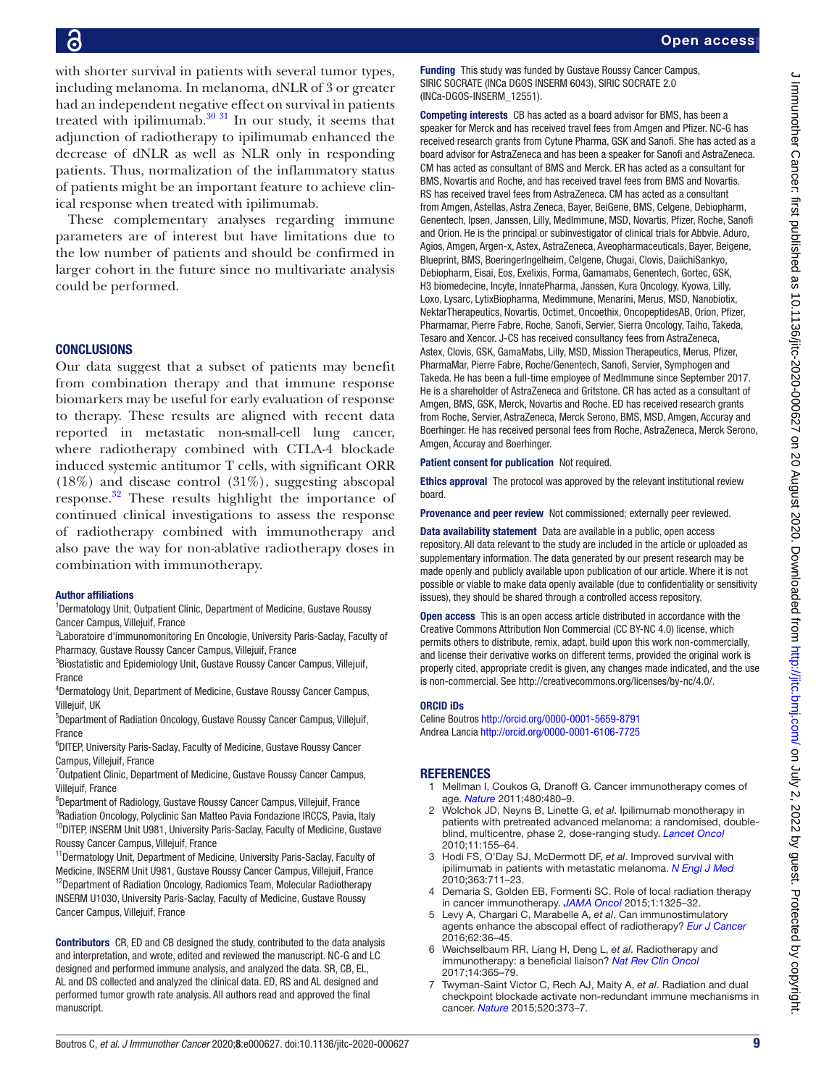with shorter survival in patients with several tumor types, including melanoma. In melanoma, dNLR of 3 or greater had an independent negative effect on survival in patients treated with ipilimumab. $30\frac{31}{1}$  In our study, it seems that adjunction of radiotherapy to ipilimumab enhanced the decrease of dNLR as well as NLR only in responding patients. Thus, normalization of the inflammatory status of patients might be an important feature to achieve clinical response when treated with ipilimumab.

These complementary analyses regarding immune parameters are of interest but have limitations due to the low number of patients and should be confirmed in larger cohort in the future since no multivariate analysis could be performed.

## **CONCLUSIONS**

Our data suggest that a subset of patients may benefit from combination therapy and that immune response biomarkers may be useful for early evaluation of response to therapy. These results are aligned with recent data reported in metastatic non-small-cell lung cancer, where radiotherapy combined with CTLA-4 blockade induced systemic antitumor T cells, with significant ORR  $(18\%)$  and disease control  $(31\%)$ , suggesting abscopal response.[32](#page-9-9) These results highlight the importance of continued clinical investigations to assess the response of radiotherapy combined with immunotherapy and also pave the way for non-ablative radiotherapy doses in combination with immunotherapy.

#### Author affiliations

<sup>1</sup>Dermatology Unit, Outpatient Clinic, Department of Medicine, Gustave Roussy Cancer Campus, Villejuif, France

<sup>2</sup>Laboratoire d'immunomonitoring En Oncologie, University Paris-Saclay, Faculty of Pharmacy, Gustave Roussy Cancer Campus, Villejuif, France

<sup>3</sup>Biostatistic and Epidemiology Unit, Gustave Roussy Cancer Campus, Villejuif, France

4 Dermatology Unit, Department of Medicine, Gustave Roussy Cancer Campus, Villejuif, UK

5 Department of Radiation Oncology, Gustave Roussy Cancer Campus, Villejuif, France

<sup>6</sup>DITEP, University Paris-Saclay, Faculty of Medicine, Gustave Roussy Cancer Campus, Villejuif, France

<sup>7</sup>Outpatient Clinic, Department of Medicine, Gustave Roussy Cancer Campus, Villejuif, France

<sup>8</sup>Department of Radiology, Gustave Roussy Cancer Campus, Villejuif, France <sup>9</sup>Radiation Oncology, Polyclinic San Matteo Pavia Fondazione IRCCS, Pavia, Italy <sup>10</sup>DITEP, INSERM Unit U981, University Paris-Saclay, Faculty of Medicine, Gustave Roussy Cancer Campus, Villejuif, France

<sup>11</sup>Dermatology Unit, Department of Medicine, University Paris-Saclay, Faculty of Medicine, INSERM Unit U981, Gustave Roussy Cancer Campus, Villejuif, France <sup>12</sup>Department of Radiation Oncology, Radiomics Team, Molecular Radiotherapy INSERM U1030, University Paris-Saclay, Faculty of Medicine, Gustave Roussy Cancer Campus, Villejuif, France

Contributors CR, ED and CB designed the study, contributed to the data analysis and interpretation, and wrote, edited and reviewed the manuscript. NC-G and LC designed and performed immune analysis, and analyzed the data. SR, CB, EL, AL and DS collected and analyzed the clinical data. ED, RS and AL designed and performed tumor growth rate analysis. All authors read and approved the final manuscript.

Funding This study was funded by Gustave Roussy Cancer Campus, SIRIC SOCRATE (INCa DGOS INSERM 6043), SIRIC SOCRATE 2.0 (INCa-DGOS-INSERM\_12551).

Competing interests CB has acted as a board advisor for BMS, has been a speaker for Merck and has received travel fees from Amgen and Pfizer. NC-G has received research grants from Cytune Pharma, GSK and Sanofi. She has acted as a board advisor for AstraZeneca and has been a speaker for Sanofi and AstraZeneca. CM has acted as consultant of BMS and Merck. ER has acted as a consultant for BMS, Novartis and Roche, and has received travel fees from BMS and Novartis. RS has received travel fees from AstraZeneca. CM has acted as a consultant from Amgen, Astellas, Astra Zeneca, Bayer, BeiGene, BMS, Celgene, Debiopharm, Genentech, Ipsen, Janssen, Lilly, MedImmune, MSD, Novartis, Pfizer, Roche, Sanofi and Orion. He is the principal or subinvestigator of clinical trials for Abbvie, Aduro, Agios, Amgen, Argen-x, Astex, AstraZeneca, Aveopharmaceuticals, Bayer, Beigene, Blueprint, BMS, BoeringerIngelheim, Celgene, Chugai, Clovis, DaiichiSankyo, Debiopharm, Eisai, Eos, Exelixis, Forma, Gamamabs, Genentech, Gortec, GSK, H3 biomedecine, Incyte, InnatePharma, Janssen, Kura Oncology, Kyowa, Lilly, Loxo, Lysarc, LytixBiopharma, Medimmune, Menarini, Merus, MSD, Nanobiotix, NektarTherapeutics, Novartis, Octimet, Oncoethix, OncopeptidesAB, Orion, Pfizer, Pharmamar, Pierre Fabre, Roche, Sanofi, Servier, Sierra Oncology, Taiho, Takeda, Tesaro and Xencor. J-CS has received consultancy fees from AstraZeneca, Astex, Clovis, GSK, GamaMabs, Lilly, MSD, Mission Therapeutics, Merus, Pfizer, PharmaMar, Pierre Fabre, Roche/Genentech, Sanofi, Servier, Symphogen and Takeda. He has been a full-time employee of MedImmune since September 2017. He is a shareholder of AstraZeneca and Gritstone. CR has acted as a consultant of Amgen, BMS, GSK, Merck, Novartis and Roche. ED has received research grants from Roche, Servier, AstraZeneca, Merck Serono, BMS, MSD, Amgen, Accuray and Boerhinger. He has received personal fees from Roche, AstraZeneca, Merck Serono, Amgen, Accuray and Boerhinger.

Patient consent for publication Not required.

Ethics approval The protocol was approved by the relevant institutional review board.

Provenance and peer review Not commissioned; externally peer reviewed.

Data availability statement Data are available in a public, open access repository. All data relevant to the study are included in the article or uploaded as supplementary information. The data generated by our present research may be made openly and publicly available upon publication of our article. Where it is not possible or viable to make data openly available (due to confidentiality or sensitivity issues), they should be shared through a controlled access repository.

**Open access** This is an open access article distributed in accordance with the Creative Commons Attribution Non Commercial (CC BY-NC 4.0) license, which permits others to distribute, remix, adapt, build upon this work non-commercially, and license their derivative works on different terms, provided the original work is properly cited, appropriate credit is given, any changes made indicated, and the use is non-commercial. See <http://creativecommons.org/licenses/by-nc/4.0/>.

#### ORCID iDs

Celine Boutros <http://orcid.org/0000-0001-5659-8791> Andrea Lancia<http://orcid.org/0000-0001-6106-7725>

#### REFERENCES

- <span id="page-8-0"></span>1 Mellman I, Coukos G, Dranoff G. Cancer immunotherapy comes of age. *[Nature](http://dx.doi.org/10.1038/nature10673)* 2011;480:480–9.
- <span id="page-8-1"></span>2 Wolchok JD, Neyns B, Linette G, *et al*. Ipilimumab monotherapy in patients with pretreated advanced melanoma: a randomised, doubleblind, multicentre, phase 2, dose-ranging study. *[Lancet Oncol](http://dx.doi.org/10.1016/S1470-2045(09)70334-1)* 2010;11:155–64.
- <span id="page-8-2"></span>3 Hodi FS, O'Day SJ, McDermott DF, *et al*. Improved survival with ipilimumab in patients with metastatic melanoma. *[N Engl J Med](http://dx.doi.org/10.1056/NEJMoa1003466)* 2010;363:711–23.
- <span id="page-8-3"></span>4 Demaria S, Golden EB, Formenti SC. Role of local radiation therapy in cancer immunotherapy. *[JAMA Oncol](http://dx.doi.org/10.1001/jamaoncol.2015.2756)* 2015;1:1325–32.
- 5 Levy A, Chargari C, Marabelle A, *et al*. Can immunostimulatory agents enhance the abscopal effect of radiotherapy? *[Eur J Cancer](http://dx.doi.org/10.1016/j.ejca.2016.03.067)* 2016;62:36–45.
- 6 Weichselbaum RR, Liang H, Deng L, *et al*. Radiotherapy and immunotherapy: a beneficial liaison? *[Nat Rev Clin Oncol](http://dx.doi.org/10.1038/nrclinonc.2016.211)* 2017;14:365–79.
- <span id="page-8-4"></span>7 Twyman-Saint Victor C, Rech AJ, Maity A, *et al*. Radiation and dual checkpoint blockade activate non-redundant immune mechanisms in cancer. *[Nature](http://dx.doi.org/10.1038/nature14292)* 2015;520:373–7.